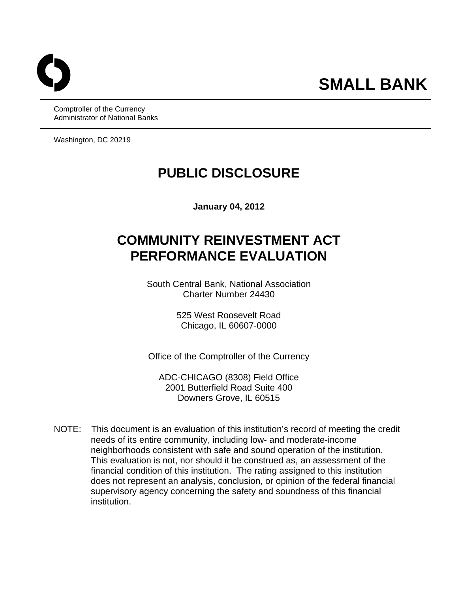Comptroller of the Currency Administrator of National Banks

Washington, DC 20219

# **PUBLIC DISCLOSURE**

**January 04, 2012** 

# **COMMUNITY REINVESTMENT ACT PERFORMANCE EVALUATION**

South Central Bank, National Association Charter Number 24430

> 525 West Roosevelt Road Chicago, IL 60607-0000

Office of the Comptroller of the Currency

ADC-CHICAGO (8308) Field Office 2001 Butterfield Road Suite 400 Downers Grove, IL 60515

NOTE: This document is an evaluation of this institution's record of meeting the credit needs of its entire community, including low- and moderate-income neighborhoods consistent with safe and sound operation of the institution. This evaluation is not, nor should it be construed as, an assessment of the financial condition of this institution. The rating assigned to this institution does not represent an analysis, conclusion, or opinion of the federal financial supervisory agency concerning the safety and soundness of this financial institution.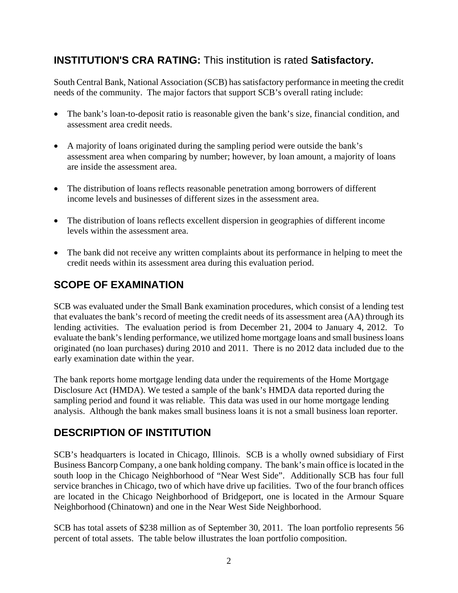# **INSTITUTION'S CRA RATING:** This institution is rated **Satisfactory.**

South Central Bank, National Association (SCB) has satisfactory performance in meeting the credit needs of the community. The major factors that support SCB's overall rating include:

- The bank's loan-to-deposit ratio is reasonable given the bank's size, financial condition, and assessment area credit needs.
- A majority of loans originated during the sampling period were outside the bank's assessment area when comparing by number; however, by loan amount, a majority of loans are inside the assessment area.
- The distribution of loans reflects reasonable penetration among borrowers of different income levels and businesses of different sizes in the assessment area.
- The distribution of loans reflects excellent dispersion in geographies of different income levels within the assessment area.
- The bank did not receive any written complaints about its performance in helping to meet the credit needs within its assessment area during this evaluation period.

# **SCOPE OF EXAMINATION**

SCB was evaluated under the Small Bank examination procedures, which consist of a lending test that evaluates the bank's record of meeting the credit needs of its assessment area (AA) through its lending activities. The evaluation period is from December 21, 2004 to January 4, 2012. To evaluate the bank's lending performance, we utilized home mortgage loans and small business loans originated (no loan purchases) during 2010 and 2011. There is no 2012 data included due to the early examination date within the year.

The bank reports home mortgage lending data under the requirements of the Home Mortgage Disclosure Act (HMDA). We tested a sample of the bank's HMDA data reported during the sampling period and found it was reliable. This data was used in our home mortgage lending analysis. Although the bank makes small business loans it is not a small business loan reporter.

# **DESCRIPTION OF INSTITUTION**

SCB's headquarters is located in Chicago, Illinois. SCB is a wholly owned subsidiary of First Business Bancorp Company, a one bank holding company. The bank's main office is located in the south loop in the Chicago Neighborhood of "Near West Side". Additionally SCB has four full service branches in Chicago, two of which have drive up facilities. Two of the four branch offices are located in the Chicago Neighborhood of Bridgeport, one is located in the Armour Square Neighborhood (Chinatown) and one in the Near West Side Neighborhood.

SCB has total assets of \$238 million as of September 30, 2011. The loan portfolio represents 56 percent of total assets. The table below illustrates the loan portfolio composition.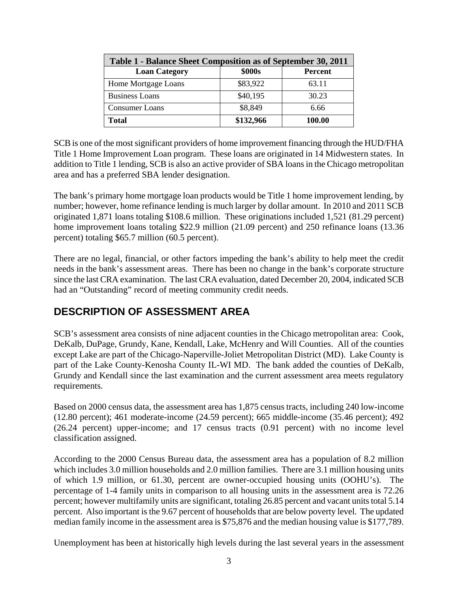| Table 1 - Balance Sheet Composition as of September 30, 2011 |           |                |  |  |  |  |  |  |
|--------------------------------------------------------------|-----------|----------------|--|--|--|--|--|--|
| <b>Loan Category</b>                                         | \$000s    | <b>Percent</b> |  |  |  |  |  |  |
| Home Mortgage Loans                                          | \$83,922  | 63.11          |  |  |  |  |  |  |
| <b>Business Loans</b>                                        | \$40,195  | 30.23          |  |  |  |  |  |  |
| <b>Consumer Loans</b>                                        | \$8,849   | 6.66           |  |  |  |  |  |  |
| <b>Total</b>                                                 | \$132,966 | 100.00         |  |  |  |  |  |  |

SCB is one of the most significant providers of home improvement financing through the HUD/FHA Title 1 Home Improvement Loan program. These loans are originated in 14 Midwestern states. In addition to Title 1 lending, SCB is also an active provider of SBA loans in the Chicago metropolitan area and has a preferred SBA lender designation.

The bank's primary home mortgage loan products would be Title 1 home improvement lending, by number; however, home refinance lending is much larger by dollar amount. In 2010 and 2011 SCB originated 1,871 loans totaling \$108.6 million. These originations included 1,521 (81.29 percent) home improvement loans totaling \$22.9 million (21.09 percent) and 250 refinance loans (13.36 percent) totaling \$65.7 million (60.5 percent).

There are no legal, financial, or other factors impeding the bank's ability to help meet the credit needs in the bank's assessment areas. There has been no change in the bank's corporate structure since the last CRA examination. The last CRA evaluation, dated December 20, 2004, indicated SCB had an "Outstanding" record of meeting community credit needs.

# **DESCRIPTION OF ASSESSMENT AREA**

SCB's assessment area consists of nine adjacent counties in the Chicago metropolitan area: Cook, DeKalb, DuPage, Grundy, Kane, Kendall, Lake, McHenry and Will Counties. All of the counties except Lake are part of the Chicago-Naperville-Joliet Metropolitan District (MD). Lake County is part of the Lake County-Kenosha County IL-WI MD. The bank added the counties of DeKalb, Grundy and Kendall since the last examination and the current assessment area meets regulatory requirements.

Based on 2000 census data, the assessment area has 1,875 census tracts, including 240 low-income (12.80 percent); 461 moderate-income (24.59 percent); 665 middle-income (35.46 percent); 492 (26.24 percent) upper-income; and 17 census tracts (0.91 percent) with no income level classification assigned.

According to the 2000 Census Bureau data, the assessment area has a population of 8.2 million which includes 3.0 million households and 2.0 million families. There are 3.1 million housing units of which 1.9 million, or 61.30, percent are owner-occupied housing units (OOHU's). The percentage of 1-4 family units in comparison to all housing units in the assessment area is 72.26 percent; however multifamily units are significant, totaling 26.85 percent and vacant units total 5.14 percent. Also important is the 9.67 percent of households that are below poverty level. The updated median family income in the assessment area is \$75,876 and the median housing value is \$177,789.

Unemployment has been at historically high levels during the last several years in the assessment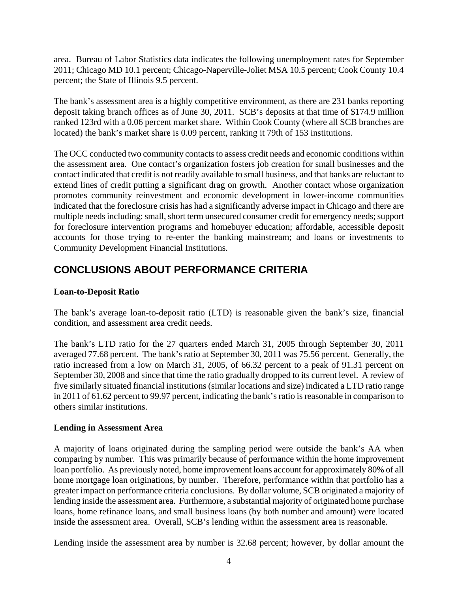area. Bureau of Labor Statistics data indicates the following unemployment rates for September 2011; Chicago MD 10.1 percent; Chicago-Naperville-Joliet MSA 10.5 percent; Cook County 10.4 percent; the State of Illinois 9.5 percent.

The bank's assessment area is a highly competitive environment, as there are 231 banks reporting deposit taking branch offices as of June 30, 2011. SCB's deposits at that time of \$174.9 million ranked 123rd with a 0.06 percent market share. Within Cook County (where all SCB branches are located) the bank's market share is 0.09 percent, ranking it 79th of 153 institutions.

The OCC conducted two community contacts to assess credit needs and economic conditions within the assessment area. One contact's organization fosters job creation for small businesses and the contact indicated that credit is not readily available to small business, and that banks are reluctant to extend lines of credit putting a significant drag on growth. Another contact whose organization promotes community reinvestment and economic development in lower-income communities indicated that the foreclosure crisis has had a significantly adverse impact in Chicago and there are multiple needs including: small, short term unsecured consumer credit for emergency needs; support for foreclosure intervention programs and homebuyer education; affordable, accessible deposit accounts for those trying to re-enter the banking mainstream; and loans or investments to Community Development Financial Institutions.

# **CONCLUSIONS ABOUT PERFORMANCE CRITERIA**

### **Loan-to-Deposit Ratio**

The bank's average loan-to-deposit ratio (LTD) is reasonable given the bank's size, financial condition, and assessment area credit needs.

The bank's LTD ratio for the 27 quarters ended March 31, 2005 through September 30, 2011 averaged 77.68 percent. The bank's ratio at September 30, 2011 was 75.56 percent. Generally, the ratio increased from a low on March 31, 2005, of 66.32 percent to a peak of 91.31 percent on September 30, 2008 and since that time the ratio gradually dropped to its current level. A review of five similarly situated financial institutions (similar locations and size) indicated a LTD ratio range in 2011 of 61.62 percent to 99.97 percent, indicating the bank's ratio is reasonable in comparison to others similar institutions.

### **Lending in Assessment Area**

A majority of loans originated during the sampling period were outside the bank's AA when comparing by number. This was primarily because of performance within the home improvement loan portfolio. As previously noted, home improvement loans account for approximately 80% of all home mortgage loan originations, by number. Therefore, performance within that portfolio has a greater impact on performance criteria conclusions. By dollar volume, SCB originated a majority of lending inside the assessment area. Furthermore, a substantial majority of originated home purchase loans, home refinance loans, and small business loans (by both number and amount) were located inside the assessment area. Overall, SCB's lending within the assessment area is reasonable.

Lending inside the assessment area by number is 32.68 percent; however, by dollar amount the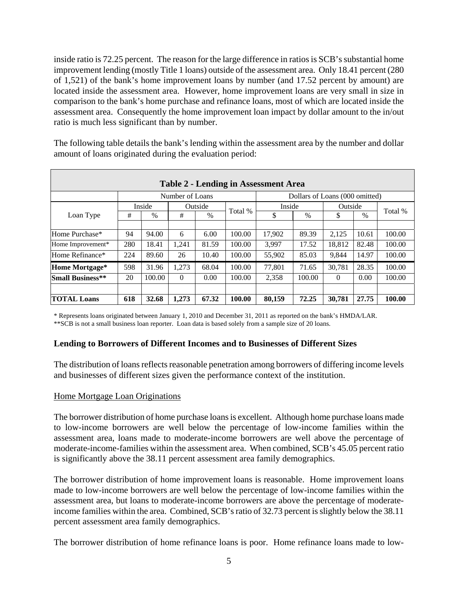inside ratio is 72.25 percent. The reason for the large difference in ratios is SCB's substantial home improvement lending (mostly Title 1 loans) outside of the assessment area. Only 18.41 percent (280 of 1,521) of the bank's home improvement loans by number (and 17.52 percent by amount) are located inside the assessment area. However, home improvement loans are very small in size in comparison to the bank's home purchase and refinance loans, most of which are located inside the assessment area. Consequently the home improvement loan impact by dollar amount to the in/out ratio is much less significant than by number.

The following table details the bank's lending within the assessment area by the number and dollar amount of loans originated during the evaluation period:

| <b>Table 2 - Lending in Assessment Area</b> |     |                 |          |         |         |        |                                |          |       |         |  |
|---------------------------------------------|-----|-----------------|----------|---------|---------|--------|--------------------------------|----------|-------|---------|--|
|                                             |     | Number of Loans |          |         |         |        | Dollars of Loans (000 omitted) |          |       |         |  |
|                                             |     | Inside          |          | Outside | Inside  |        |                                | Outside  |       | Total % |  |
| Loan Type                                   | #   | $\frac{0}{0}$   | #        | $\%$    | Total % | \$     | $\%$                           | \$       | $\%$  |         |  |
|                                             |     |                 |          |         |         |        |                                |          |       |         |  |
| Home Purchase*                              | 94  | 94.00           | 6        | 6.00    | 100.00  | 17,902 | 89.39                          | 2.125    | 10.61 | 100.00  |  |
| Home Improvement*                           | 280 | 18.41           | 1.241    | 81.59   | 100.00  | 3.997  | 17.52                          | 18.812   | 82.48 | 100.00  |  |
| Home Refinance*                             | 224 | 89.60           | 26       | 10.40   | 100.00  | 55,902 | 85.03                          | 9,844    | 14.97 | 100.00  |  |
| Home Mortgage*                              | 598 | 31.96           | 1,273    | 68.04   | 100.00  | 77,801 | 71.65                          | 30,781   | 28.35 | 100.00  |  |
| <b>Small Business**</b>                     | 20  | 100.00          | $\Omega$ | 0.00    | 100.00  | 2,358  | 100.00                         | $\Omega$ | 0.00  | 100.00  |  |
|                                             |     |                 |          |         |         |        |                                |          |       |         |  |
| <b>TOTAL Loans</b>                          | 618 | 32.68           | 1,273    | 67.32   | 100.00  | 80,159 | 72.25                          | 30,781   | 27.75 | 100.00  |  |

\* Represents loans originated between January 1, 2010 and December 31, 2011 as reported on the bank's HMDA/LAR. \*\*SCB is not a small business loan reporter. Loan data is based solely from a sample size of 20 loans.

### **Lending to Borrowers of Different Incomes and to Businesses of Different Sizes**

The distribution of loans reflects reasonable penetration among borrowers of differing income levels and businesses of different sizes given the performance context of the institution.

### Home Mortgage Loan Originations

The borrower distribution of home purchase loans is excellent. Although home purchase loans made to low-income borrowers are well below the percentage of low-income families within the assessment area, loans made to moderate-income borrowers are well above the percentage of moderate-income-families within the assessment area. When combined, SCB's 45.05 percent ratio is significantly above the 38.11 percent assessment area family demographics.

The borrower distribution of home improvement loans is reasonable. Home improvement loans made to low-income borrowers are well below the percentage of low-income families within the assessment area, but loans to moderate-income borrowers are above the percentage of moderateincome families within the area. Combined, SCB's ratio of 32.73 percent is slightly below the 38.11 percent assessment area family demographics.

The borrower distribution of home refinance loans is poor. Home refinance loans made to low-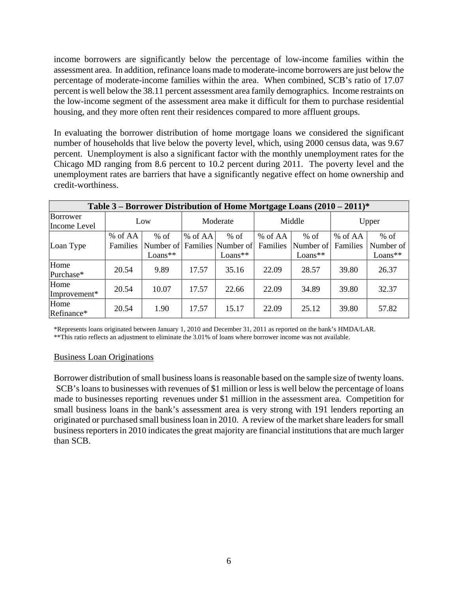income borrowers are significantly below the percentage of low-income families within the assessment area. In addition, refinance loans made to moderate-income borrowers are just below the percentage of moderate-income families within the area. When combined, SCB's ratio of 17.07 percent is well below the 38.11 percent assessment area family demographics. Income restraints on the low-income segment of the assessment area make it difficult for them to purchase residential housing, and they more often rent their residences compared to more affluent groups.

In evaluating the borrower distribution of home mortgage loans we considered the significant number of households that live below the poverty level, which, using 2000 census data, was 9.67 percent. Unemployment is also a significant factor with the monthly unemployment rates for the Chicago MD ranging from 8.6 percent to 10.2 percent during 2011. The poverty level and the unemployment rates are barriers that have a significantly negative effect on home ownership and credit-worthiness.

| Table 3 – Borrower Distribution of Home Mortgage Loans $(2010 - 2011)^*$ |                     |                     |           |                                                     |                     |                                  |                     |                                |  |  |  |
|--------------------------------------------------------------------------|---------------------|---------------------|-----------|-----------------------------------------------------|---------------------|----------------------------------|---------------------|--------------------------------|--|--|--|
| Borrower<br>Income Level                                                 | Low                 |                     | Moderate  |                                                     |                     | Middle                           | Upper               |                                |  |  |  |
| Loan Type                                                                | % of AA<br>Families | $%$ of<br>$Loans**$ | $%$ of AA | $%$ of<br>Number of Families Number of<br>$Loans**$ | % of AA<br>Families | $%$ of<br>Number of<br>$Loans**$ | % of AA<br>Families | $%$ of<br>Number of<br>Loans** |  |  |  |
| Home<br>Purchase*                                                        | 20.54               | 9.89                | 17.57     | 35.16                                               | 22.09               | 28.57                            | 39.80               | 26.37                          |  |  |  |
| Home<br>Improvement*                                                     | 20.54               | 10.07               | 17.57     | 22.66                                               | 22.09               | 34.89                            | 39.80               | 32.37                          |  |  |  |
| Home<br>Refinance*                                                       | 20.54               | 1.90                | 17.57     | 15.17                                               | 22.09               | 25.12                            | 39.80               | 57.82                          |  |  |  |

\*Represents loans originated between January 1, 2010 and December 31, 2011 as reported on the bank's HMDA/LAR.

\*\*This ratio reflects an adjustment to eliminate the 3.01% of loans where borrower income was not available.

### Business Loan Originations

Borrower distribution of small business loans is reasonable based on the sample size of twenty loans. SCB's loans to businesses with revenues of \$1 million or less is well below the percentage of loans made to businesses reporting revenues under \$1 million in the assessment area. Competition for small business loans in the bank's assessment area is very strong with 191 lenders reporting an originated or purchased small business loan in 2010. A review of the market share leaders for small business reporters in 2010 indicates the great majority are financial institutions that are much larger than SCB.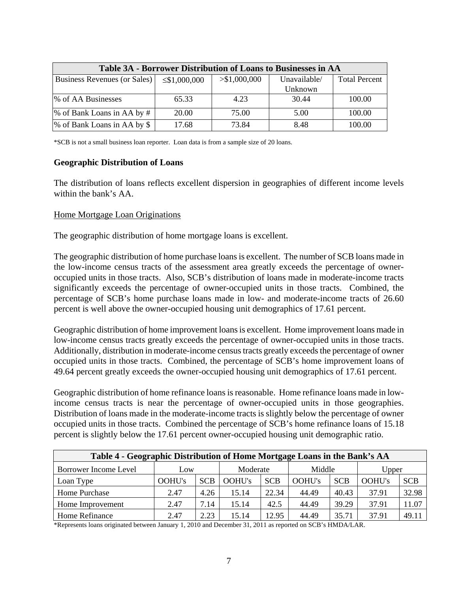| Table 3A - Borrower Distribution of Loans to Businesses in AA |                    |                               |         |                      |  |  |  |  |  |
|---------------------------------------------------------------|--------------------|-------------------------------|---------|----------------------|--|--|--|--|--|
| Business Revenues (or Sales)                                  | $\leq$ \$1,000,000 | > \$1,000,000<br>Unavailable/ |         | <b>Total Percent</b> |  |  |  |  |  |
|                                                               |                    |                               | Unknown |                      |  |  |  |  |  |
| % of AA Businesses                                            | 65.33              | 4.23                          | 30.44   | 100.00               |  |  |  |  |  |
| % of Bank Loans in AA by #                                    | 20.00              | 75.00                         | 5.00    | 100.00               |  |  |  |  |  |
| % of Bank Loans in AA by \$                                   | 17.68              | 73.84                         | 8.48    | 100.00               |  |  |  |  |  |

\*SCB is not a small business loan reporter. Loan data is from a sample size of 20 loans.

#### **Geographic Distribution of Loans**

The distribution of loans reflects excellent dispersion in geographies of different income levels within the bank's AA.

### Home Mortgage Loan Originations

The geographic distribution of home mortgage loans is excellent.

The geographic distribution of home purchase loans is excellent. The number of SCB loans made in the low-income census tracts of the assessment area greatly exceeds the percentage of owneroccupied units in those tracts. Also, SCB's distribution of loans made in moderate-income tracts significantly exceeds the percentage of owner-occupied units in those tracts. Combined, the percentage of SCB's home purchase loans made in low- and moderate-income tracts of 26.60 percent is well above the owner-occupied housing unit demographics of 17.61 percent.

Geographic distribution of home improvement loans is excellent. Home improvement loans made in low-income census tracts greatly exceeds the percentage of owner-occupied units in those tracts. Additionally, distribution in moderate-income census tracts greatly exceeds the percentage of owner occupied units in those tracts. Combined, the percentage of SCB's home improvement loans of 49.64 percent greatly exceeds the owner-occupied housing unit demographics of 17.61 percent.

Geographic distribution of home refinance loans is reasonable. Home refinance loans made in lowincome census tracts is near the percentage of owner-occupied units in those geographies. Distribution of loans made in the moderate-income tracts is slightly below the percentage of owner occupied units in those tracts. Combined the percentage of SCB's home refinance loans of 15.18 percent is slightly below the 17.61 percent owner-occupied housing unit demographic ratio.

| Table 4 - Geographic Distribution of Home Mortgage Loans in the Bank's AA |        |            |               |            |        |            |        |            |  |  |
|---------------------------------------------------------------------------|--------|------------|---------------|------------|--------|------------|--------|------------|--|--|
| Borrower Income Level                                                     | Low    |            | Moderate      |            | Middle |            | Upper  |            |  |  |
| Loan Type                                                                 | OOHU's | <b>SCB</b> | <b>OOHU's</b> | <b>SCB</b> | OOHU's | <b>SCB</b> | OOHU's | <b>SCB</b> |  |  |
| Home Purchase                                                             | 2.47   | 4.26       | 15.14         | 22.34      | 44.49  | 40.43      | 37.91  | 32.98      |  |  |
| Home Improvement                                                          | 2.47   | 7.14       | 15.14         | 42.5       | 44.49  | 39.29      | 37.91  | 11.07      |  |  |
| Home Refinance                                                            | 2.47   | 2.23       | 15.14         | 12.95      | 44.49  | 35.71      | 37.91  | 49.11      |  |  |

\*Represents loans originated between January 1, 2010 and December 31, 2011 as reported on SCB's HMDA/LAR.